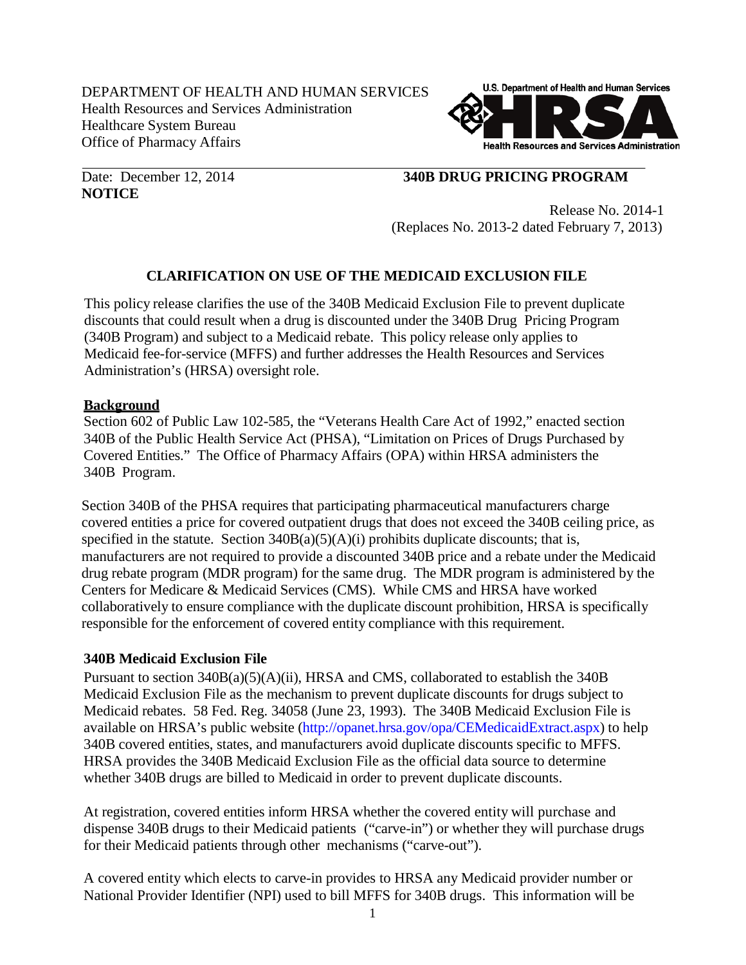DEPARTMENT OF HEALTH AND HUMAN SERVICES Health Resources and Services Administration Healthcare System Bureau Office of Pharmacy Affairs



**NOTICE**

## Date: December 12, 2014 **340B DRUG PRICING PROGRAM**

Release No. 2014-1 (Replaces No. 2013-2 dated February 7, 2013)

# **CLARIFICATION ON USE OF THE MEDICAID EXCLUSION FILE**

This policy release clarifies the use of the 340B Medicaid Exclusion File to prevent duplicate discounts that could result when a drug is discounted under the 340B Drug Pricing Program (340B Program) and subject to a Medicaid rebate. This policy release only applies to Medicaid fee-for-service (MFFS) and further addresses the Health Resources and Services Administration's (HRSA) oversight role.

### **Background**

Section 602 of Public Law 102-585, the "Veterans Health Care Act of 1992," enacted section 340B of the Public Health Service Act (PHSA), "Limitation on Prices of Drugs Purchased by Covered Entities." The Office of Pharmacy Affairs (OPA) within HRSA administers the 340B Program.

Section 340B of the PHSA requires that participating pharmaceutical manufacturers charge covered entities a price for covered outpatient drugs that does not exceed the 340B ceiling price, as specified in the statute. Section  $340B(a)(5)(A)(i)$  prohibits duplicate discounts; that is, manufacturers are not required to provide a discounted 340B price and a rebate under the Medicaid drug rebate program (MDR program) for the same drug. The MDR program is administered by the Centers for Medicare & Medicaid Services (CMS). While CMS and HRSA have worked collaboratively to ensure compliance with the duplicate discount prohibition, HRSA is specifically responsible for the enforcement of covered entity compliance with this requirement.

### **340B Medicaid Exclusion File**

Pursuant to section 340B(a)(5)(A)(ii), HRSA and CMS, collaborated to establish the 340B Medicaid Exclusion File as the mechanism to prevent duplicate discounts for drugs subject to Medicaid rebates. 58 Fed. Reg. 34058 (June 23, 1993). The 340B Medicaid Exclusion File is available on HRSA's public website [\(http://opanet.hrsa.gov/opa/CEMedicaidExtract.aspx\)](http://opanet.hrsa.gov/opa/CEMedicaidExtract.aspx) to help 340B covered entities, states, and manufacturers avoid duplicate discounts specific to MFFS. HRSA provides the 340B Medicaid Exclusion File as the official data source to determine whether 340B drugs are billed to Medicaid in order to prevent duplicate discounts.

At registration, covered entities inform HRSA whether the covered entity will purchase and dispense 340B drugs to their Medicaid patients ("carve-in") or whether they will purchase drugs for their Medicaid patients through other mechanisms ("carve-out").

A covered entity which elects to carve-in provides to HRSA any Medicaid provider number or National Provider Identifier (NPI) used to bill MFFS for 340B drugs. This information will be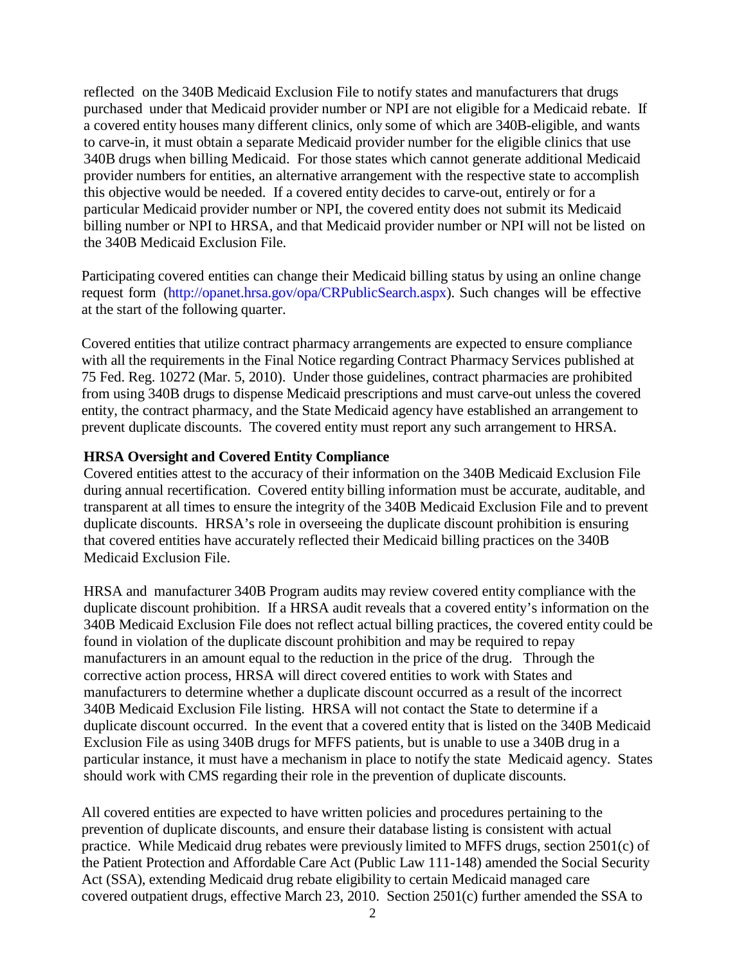reflected on the 340B Medicaid Exclusion File to notify states and manufacturers that drugs purchased under that Medicaid provider number or NPI are not eligible for a Medicaid rebate. If a covered entity houses many different clinics, only some of which are 340B-eligible, and wants to carve-in, it must obtain a separate Medicaid provider number for the eligible clinics that use 340B drugs when billing Medicaid. For those states which cannot generate additional Medicaid provider numbers for entities, an alternative arrangement with the respective state to accomplish this objective would be needed. If a covered entity decides to carve-out, entirely or for a particular Medicaid provider number or NPI, the covered entity does not submit its Medicaid billing number or NPI to HRSA, and that Medicaid provider number or NPI will not be listed on the 340B Medicaid Exclusion File.

Participating covered entities can change their Medicaid billing status by using an online change request form [\(http://opanet.hrsa.gov/opa/CRPublicSearch.aspx\)](http://opanet.hrsa.gov/opa/CRPublicSearch.aspx). Such changes will be effective at the start of the following quarter.

Covered entities that utilize contract pharmacy arrangements are expected to ensure compliance with all the requirements in the Final Notice regarding Contract Pharmacy Services published at 75 Fed. Reg. 10272 (Mar. 5, 2010). Under those guidelines, contract pharmacies are prohibited from using 340B drugs to dispense Medicaid prescriptions and must carve-out unless the covered entity, the contract pharmacy, and the State Medicaid agency have established an arrangement to prevent duplicate discounts. The covered entity must report any such arrangement to HRSA.

#### **HRSA Oversight and Covered Entity Compliance**

Covered entities attest to the accuracy of their information on the 340B Medicaid Exclusion File during annual recertification. Covered entity billing information must be accurate, auditable, and transparent at all times to ensure the integrity of the 340B Medicaid Exclusion File and to prevent duplicate discounts. HRSA's role in overseeing the duplicate discount prohibition is ensuring that covered entities have accurately reflected their Medicaid billing practices on the 340B Medicaid Exclusion File.

HRSA and manufacturer 340B Program audits may review covered entity compliance with the duplicate discount prohibition. If a HRSA audit reveals that a covered entity's information on the 340B Medicaid Exclusion File does not reflect actual billing practices, the covered entity could be found in violation of the duplicate discount prohibition and may be required to repay manufacturers in an amount equal to the reduction in the price of the drug. Through the corrective action process, HRSA will direct covered entities to work with States and manufacturers to determine whether a duplicate discount occurred as a result of the incorrect 340B Medicaid Exclusion File listing. HRSA will not contact the State to determine if a duplicate discount occurred. In the event that a covered entity that is listed on the 340B Medicaid Exclusion File as using 340B drugs for MFFS patients, but is unable to use a 340B drug in a particular instance, it must have a mechanism in place to notify the state Medicaid agency. States should work with CMS regarding their role in the prevention of duplicate discounts.

All covered entities are expected to have written policies and procedures pertaining to the prevention of duplicate discounts, and ensure their database listing is consistent with actual practice. While Medicaid drug rebates were previously limited to MFFS drugs, section 2501(c) of the Patient Protection and Affordable Care Act (Public Law 111-148) amended the Social Security Act (SSA), extending Medicaid drug rebate eligibility to certain Medicaid managed care covered outpatient drugs, effective March 23, 2010. Section 2501(c) further amended the SSA to